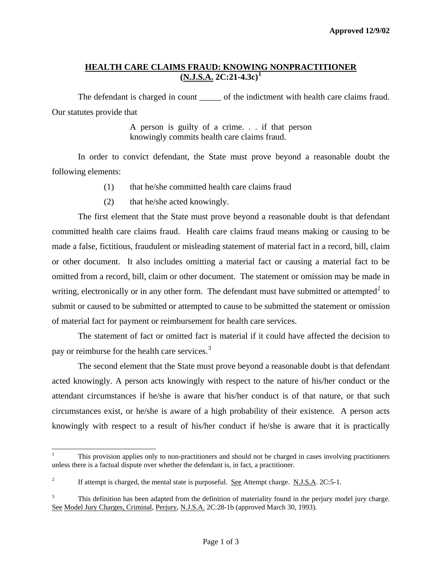### **HEALTH CARE CLAIMS FRAUD: KNOWING NONPRACTITIONER (N.J.S.A. 2C:21-4.3c)[1](#page-0-0)**

The defendant is charged in count of the indictment with health care claims fraud. Our statutes provide that

> A person is guilty of a crime. . . if that person knowingly commits health care claims fraud.

 In order to convict defendant, the State must prove beyond a reasonable doubt the following elements:

- (1) that he/she committed health care claims fraud
- (2) that he/she acted knowingly.

 The first element that the State must prove beyond a reasonable doubt is that defendant committed health care claims fraud. Health care claims fraud means making or causing to be made a false, fictitious, fraudulent or misleading statement of material fact in a record, bill, claim or other document. It also includes omitting a material fact or causing a material fact to be omitted from a record, bill, claim or other document. The statement or omission may be made in writing, electronically or in any other form. The defendant must have submitted or attempted<sup>[2](#page-0-1)</sup> to submit or caused to be submitted or attempted to cause to be submitted the statement or omission of material fact for payment or reimbursement for health care services.

 The statement of fact or omitted fact is material if it could have affected the decision to pay or reimburse for the health care services.<sup>[3](#page-0-2)</sup>

 The second element that the State must prove beyond a reasonable doubt is that defendant acted knowingly. A person acts knowingly with respect to the nature of his/her conduct or the attendant circumstances if he/she is aware that his/her conduct is of that nature, or that such circumstances exist, or he/she is aware of a high probability of their existence. A person acts knowingly with respect to a result of his/her conduct if he/she is aware that it is practically

l

<span id="page-0-3"></span><span id="page-0-0"></span><sup>1</sup> This provision applies only to non-practitioners and should not be charged in cases involving practitioners unless there is a factual dispute over whether the defendant is, in fact, a practitioner.

<span id="page-0-1"></span><sup>2</sup> If attempt is charged, the mental state is purposeful. See Attempt charge. N.J.S.A. 2C:5-1.

<span id="page-0-2"></span><sup>3</sup> This definition has been adapted from the definition of materiality found in the perjury model jury charge. See Model Jury Charges, Criminal, Perjury, N.J.S.A. 2C:28-1b (approved March 30, 1993).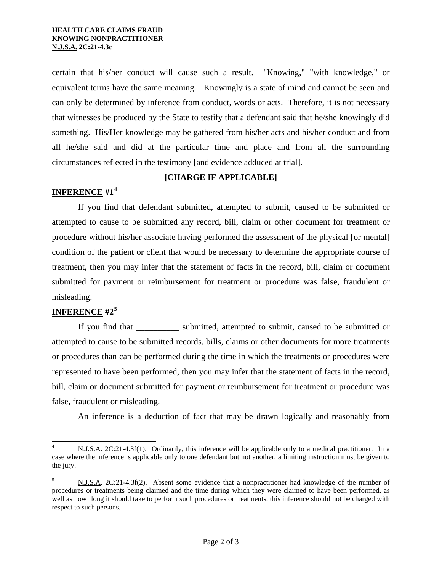#### **HEALTH CARE CLAIMS FRAUD KNOWING NONPRACTITIONER N.J.S.A. 2C:21-4.3c**

certain that his/her conduct will cause such a result. "Knowing," "with knowledge," or equivalent terms have the same meaning. Knowingly is a state of mind and cannot be seen and can only be determined by inference from conduct, words or acts. Therefore, it is not necessary that witnesses be produced by the State to testify that a defendant said that he/she knowingly did something. His/Her knowledge may be gathered from his/her acts and his/her conduct and from all he/she said and did at the particular time and place and from all the surrounding circumstances reflected in the testimony [and evidence adduced at trial].

### **[CHARGE IF APPLICABLE]**

## **INFERENCE #1[4](#page-0-3)**

 If you find that defendant submitted, attempted to submit, caused to be submitted or attempted to cause to be submitted any record, bill, claim or other document for treatment or procedure without his/her associate having performed the assessment of the physical [or mental] condition of the patient or client that would be necessary to determine the appropriate course of treatment, then you may infer that the statement of facts in the record, bill, claim or document submitted for payment or reimbursement for treatment or procedure was false, fraudulent or misleading.

# **INFERENCE #2[5](#page-1-0)**

l

If you find that submitted, attempted to submit, caused to be submitted or attempted to cause to be submitted records, bills, claims or other documents for more treatments or procedures than can be performed during the time in which the treatments or procedures were represented to have been performed, then you may infer that the statement of facts in the record, bill, claim or document submitted for payment or reimbursement for treatment or procedure was false, fraudulent or misleading.

An inference is a deduction of fact that may be drawn logically and reasonably from

<sup>4</sup> N.J.S.A. 2C:21-4.3f(1). Ordinarily, this inference will be applicable only to a medical practitioner. In a case where the inference is applicable only to one defendant but not another, a limiting instruction must be given to the jury.

<span id="page-1-1"></span><span id="page-1-0"></span><sup>5</sup> N.J.S.A. 2C:21-4.3f(2). Absent some evidence that a nonpractitioner had knowledge of the number of procedures or treatments being claimed and the time during which they were claimed to have been performed, as well as how long it should take to perform such procedures or treatments, this inference should not be charged with respect to such persons.